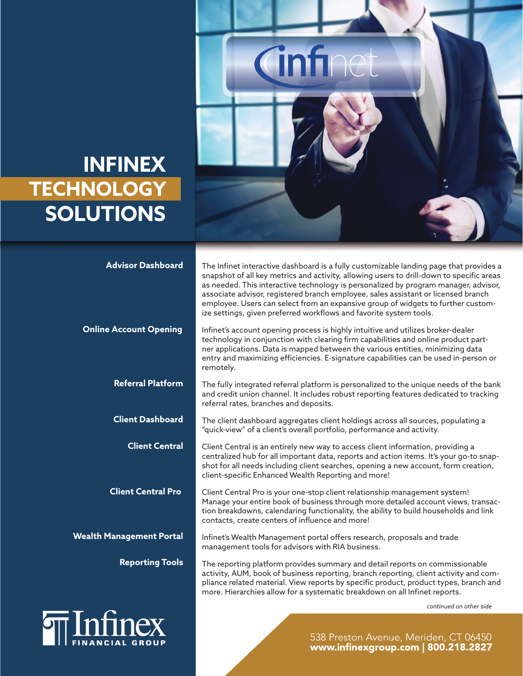## **INFINEX TECHNOLOGY SOLUTIONS**

FINANCIAL GROUP



| <b>Advisor Dashboard</b>        | The Infinet interactive dashboard is a fully customizable landing page that provides a<br>snapshot of all key metrics and activity, allowing users to drill-down to specific areas<br>as needed. This interactive technology is personalized by program manager, advisor,<br>associate advisor, registered branch employee, sales assistant or licensed branch<br>employee. Users can select from an expansive group of widgets to further custom-<br>ize settings, given preferred workflows and favorite system tools. |
|---------------------------------|--------------------------------------------------------------------------------------------------------------------------------------------------------------------------------------------------------------------------------------------------------------------------------------------------------------------------------------------------------------------------------------------------------------------------------------------------------------------------------------------------------------------------|
| <b>Online Account Opening</b>   | Infinet's account opening process is highly intuitive and utilizes broker-dealer<br>technology in conjunction with clearing firm capabilities and online product part-<br>ner applications. Data is mapped between the various entities, minimizing data<br>entry and maximizing efficiencies. E-signature capabilities can be used in-person or<br>remotely.                                                                                                                                                            |
| <b>Referral Platform</b>        | The fully integrated referral platform is personalized to the unique needs of the bank<br>and credit union channel. It includes robust reporting features dedicated to tracking<br>referral rates, branches and deposits.                                                                                                                                                                                                                                                                                                |
| <b>Client Dashboard</b>         | The client dashboard aggregates client holdings across all sources, populating a<br>"quick-view" of a client's overall portfolio, performance and activity.                                                                                                                                                                                                                                                                                                                                                              |
| <b>Client Central</b>           | Client Central is an entirely new way to access client information, providing a<br>centralized hub for all important data, reports and action items. It's your go-to snap-<br>shot for all needs including client searches, opening a new account, form creation,<br>client-specific Enhanced Wealth Reporting and more!                                                                                                                                                                                                 |
| <b>Client Central Pro</b>       | Client Central Pro is your one-stop client relationship management system!<br>Manage your entire book of business through more detailed account views, transac-<br>tion breakdowns, calendaring functionality, the ability to build households and link<br>contacts, create centers of influence and more!                                                                                                                                                                                                               |
| <b>Wealth Management Portal</b> | Infinet's Wealth Management portal offers research, proposals and trade<br>management tools for advisors with RIA business.                                                                                                                                                                                                                                                                                                                                                                                              |
| <b>Reporting Tools</b>          | The reporting platform provides summary and detail reports on commissionable<br>activity, AUM, book of business reporting, branch reporting, client activity and com-<br>pliance related material. View reports by specific product, product types, branch and<br>more. Hierarchies allow for a systematic breakdown on all Infinet reports.                                                                                                                                                                             |
|                                 | continued on other side                                                                                                                                                                                                                                                                                                                                                                                                                                                                                                  |
|                                 |                                                                                                                                                                                                                                                                                                                                                                                                                                                                                                                          |

538 Preston Avenue, Meriden, CT 06450<br>www.infinexgroup.com | 800.218.2827